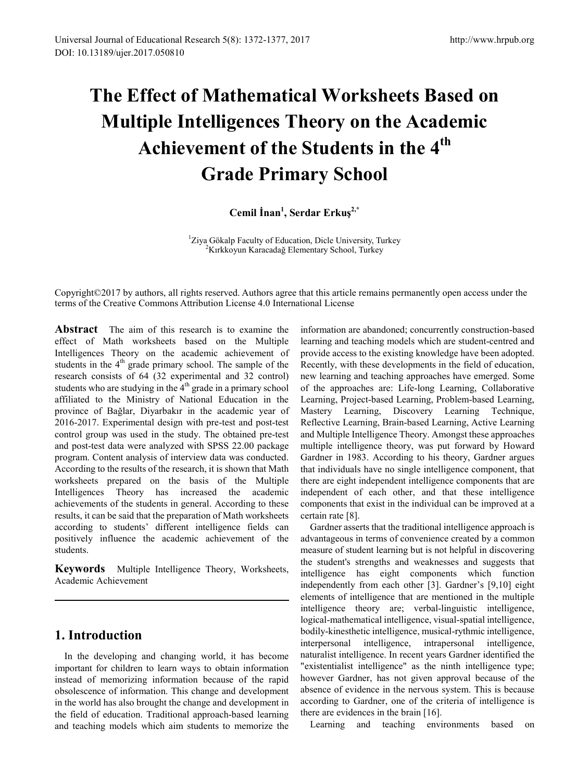# **The Effect of Mathematical Worksheets Based on Multiple Intelligences Theory on the Academic Achievement of the Students in the 4th Grade Primary School**

# **Cemil İnan<sup>1</sup> , Serdar Erkuş2,\***

<sup>1</sup>Ziya Gökalp Faculty of Education, Dicle University, Turkey Kırkkoyun Karacadağ Elementary School, Turkey

Copyright©2017 by authors, all rights reserved. Authors agree that this article remains permanently open access under the terms of the Creative Commons Attribution License 4.0 International License

**Abstract** The aim of this research is to examine the effect of Math worksheets based on the Multiple Intelligences Theory on the academic achievement of students in the 4<sup>th</sup> grade primary school. The sample of the research consists of 64 (32 experimental and 32 control) students who are studying in the  $4<sup>th</sup>$  grade in a primary school affiliated to the Ministry of National Education in the province of Bağlar, Diyarbakır in the academic year of 2016-2017. Experimental design with pre-test and post-test control group was used in the study. The obtained pre-test and post-test data were analyzed with SPSS 22.00 package program. Content analysis of interview data was conducted. According to the results of the research, it is shown that Math worksheets prepared on the basis of the Multiple Intelligences Theory has increased the academic achievements of the students in general. According to these results, it can be said that the preparation of Math worksheets according to students' different intelligence fields can positively influence the academic achievement of the students.

**Keywords** Multiple Intelligence Theory, Worksheets, Academic Achievement

## **1. Introduction**

In the developing and changing world, it has become important for children to learn ways to obtain information instead of memorizing information because of the rapid obsolescence of information. This change and development in the world has also brought the change and development in the field of education. Traditional approach-based learning and teaching models which aim students to memorize the

information are abandoned; concurrently construction-based learning and teaching models which are student-centred and provide access to the existing knowledge have been adopted. Recently, with these developments in the field of education, new learning and teaching approaches have emerged. Some of the approaches are: Life-long Learning, Collaborative Learning, Project-based Learning, Problem-based Learning, Mastery Learning, Discovery Learning Technique, Reflective Learning, Brain-based Learning, Active Learning and Multiple Intelligence Theory. Amongst these approaches multiple intelligence theory, was put forward by Howard Gardner in 1983. According to his theory, Gardner argues that individuals have no single intelligence component, that there are eight independent intelligence components that are independent of each other, and that these intelligence components that exist in the individual can be improved at a certain rate [8].

Gardner asserts that the traditional intelligence approach is advantageous in terms of convenience created by a common measure of student learning but is not helpful in discovering the student's strengths and weaknesses and suggests that intelligence has eight components which function independently from each other [3]. Gardner's [9,10] eight elements of intelligence that are mentioned in the multiple intelligence theory are; verbal-linguistic intelligence, logical-mathematical intelligence, visual-spatial intelligence, bodily-kinesthetic intelligence, musical-rythmic intelligence, interpersonal intelligence, intrapersonal intelligence, naturalist intelligence. In recent years Gardner identified the "existentialist intelligence" as the ninth intelligence type; however Gardner, has not given approval because of the absence of evidence in the nervous system. This is because according to Gardner, one of the criteria of intelligence is there are evidences in the brain [16].

Learning and teaching environments based on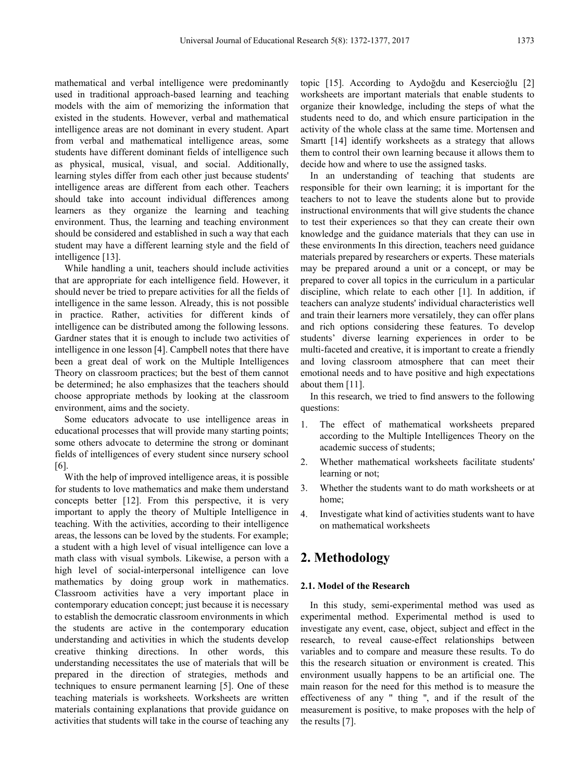mathematical and verbal intelligence were predominantly used in traditional approach-based learning and teaching models with the aim of memorizing the information that existed in the students. However, verbal and mathematical intelligence areas are not dominant in every student. Apart from verbal and mathematical intelligence areas, some students have different dominant fields of intelligence such as physical, musical, visual, and social. Additionally, learning styles differ from each other just because students' intelligence areas are different from each other. Teachers should take into account individual differences among learners as they organize the learning and teaching environment. Thus, the learning and teaching environment should be considered and established in such a way that each student may have a different learning style and the field of intelligence [13].

While handling a unit, teachers should include activities that are appropriate for each intelligence field. However, it should never be tried to prepare activities for all the fields of intelligence in the same lesson. Already, this is not possible in practice. Rather, activities for different kinds of intelligence can be distributed among the following lessons. Gardner states that it is enough to include two activities of intelligence in one lesson [4]. Campbell notes that there have been a great deal of work on the Multiple Intelligences Theory on classroom practices; but the best of them cannot be determined; he also emphasizes that the teachers should choose appropriate methods by looking at the classroom environment, aims and the society.

Some educators advocate to use intelligence areas in educational processes that will provide many starting points; some others advocate to determine the strong or dominant fields of intelligences of every student since nursery school [6].

With the help of improved intelligence areas, it is possible for students to love mathematics and make them understand concepts better [12]. From this perspective, it is very important to apply the theory of Multiple Intelligence in teaching. With the activities, according to their intelligence areas, the lessons can be loved by the students. For example; a student with a high level of visual intelligence can love a math class with visual symbols. Likewise, a person with a high level of social-interpersonal intelligence can love mathematics by doing group work in mathematics. Classroom activities have a very important place in contemporary education concept; just because it is necessary to establish the democratic classroom environments in which the students are active in the contemporary education understanding and activities in which the students develop creative thinking directions. In other words, this understanding necessitates the use of materials that will be prepared in the direction of strategies, methods and techniques to ensure permanent learning [5]. One of these teaching materials is worksheets. Worksheets are written materials containing explanations that provide guidance on activities that students will take in the course of teaching any topic [15]. According to Aydoğdu and Kesercioğlu [2] worksheets are important materials that enable students to organize their knowledge, including the steps of what the students need to do, and which ensure participation in the activity of the whole class at the same time. Mortensen and Smartt [14] identify worksheets as a strategy that allows them to control their own learning because it allows them to decide how and where to use the assigned tasks.

In an understanding of teaching that students are responsible for their own learning; it is important for the teachers to not to leave the students alone but to provide instructional environments that will give students the chance to test their experiences so that they can create their own knowledge and the guidance materials that they can use in these environments In this direction, teachers need guidance materials prepared by researchers or experts. These materials may be prepared around a unit or a concept, or may be prepared to cover all topics in the curriculum in a particular discipline, which relate to each other [1]. In addition, if teachers can analyze students' individual characteristics well and train their learners more versatilely, they can offer plans and rich options considering these features. To develop students' diverse learning experiences in order to be multi-faceted and creative, it is important to create a friendly and loving classroom atmosphere that can meet their emotional needs and to have positive and high expectations about them [11].

In this research, we tried to find answers to the following questions:

- 1. The effect of mathematical worksheets prepared according to the Multiple Intelligences Theory on the academic success of students;
- 2. Whether mathematical worksheets facilitate students' learning or not;
- 3. Whether the students want to do math worksheets or at home;
- 4. Investigate what kind of activities students want to have on mathematical worksheets

# **2. Methodology**

#### **2.1. Model of the Research**

In this study, semi-experimental method was used as experimental method. Experimental method is used to investigate any event, case, object, subject and effect in the research, to reveal cause-effect relationships between variables and to compare and measure these results. To do this the research situation or environment is created. This environment usually happens to be an artificial one. The main reason for the need for this method is to measure the effectiveness of any '' thing '', and if the result of the measurement is positive, to make proposes with the help of the results [7].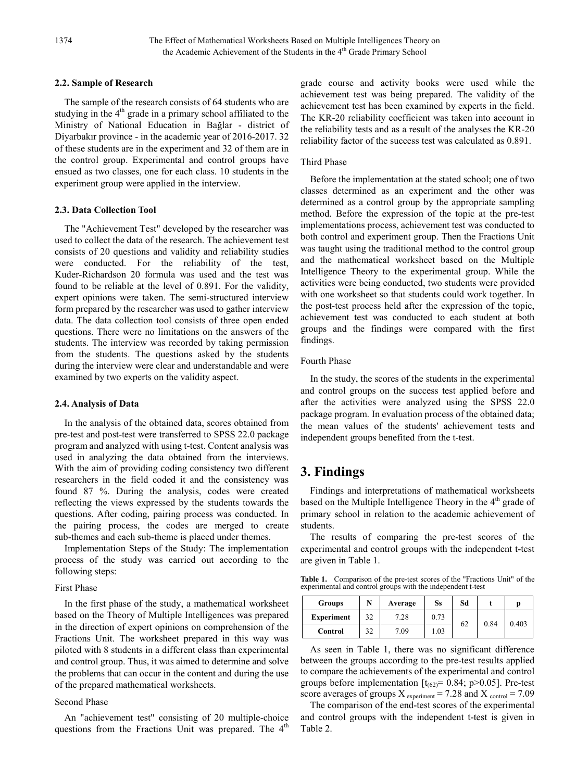#### **2.2. Sample of Research**

The sample of the research consists of 64 students who are studying in the 4<sup>th</sup> grade in a primary school affiliated to the Ministry of National Education in Bağlar - district of Diyarbakır province - in the academic year of 2016-2017. 32 of these students are in the experiment and 32 of them are in the control group. Experimental and control groups have ensued as two classes, one for each class. 10 students in the experiment group were applied in the interview.

#### **2.3. Data Collection Tool**

The "Achievement Test" developed by the researcher was used to collect the data of the research. The achievement test consists of 20 questions and validity and reliability studies were conducted. For the reliability of the test, Kuder-Richardson 20 formula was used and the test was found to be reliable at the level of 0.891. For the validity, expert opinions were taken. The semi-structured interview form prepared by the researcher was used to gather interview data. The data collection tool consists of three open ended questions. There were no limitations on the answers of the students. The interview was recorded by taking permission from the students. The questions asked by the students during the interview were clear and understandable and were examined by two experts on the validity aspect.

#### **2.4. Analysis of Data**

In the analysis of the obtained data, scores obtained from pre-test and post-test were transferred to SPSS 22.0 package program and analyzed with using t-test. Content analysis was used in analyzing the data obtained from the interviews. With the aim of providing coding consistency two different researchers in the field coded it and the consistency was found 87 %. During the analysis, codes were created reflecting the views expressed by the students towards the questions. After coding, pairing process was conducted. In the pairing process, the codes are merged to create sub-themes and each sub-theme is placed under themes.

Implementation Steps of the Study: The implementation process of the study was carried out according to the following steps:

#### First Phase

In the first phase of the study, a mathematical worksheet based on the Theory of Multiple Intelligences was prepared in the direction of expert opinions on comprehension of the Fractions Unit. The worksheet prepared in this way was piloted with 8 students in a different class than experimental and control group. Thus, it was aimed to determine and solve the problems that can occur in the content and during the use of the prepared mathematical worksheets.

#### Second Phase

An "achievement test" consisting of 20 multiple-choice questions from the Fractions Unit was prepared. The  $4<sup>th</sup>$  grade course and activity books were used while the achievement test was being prepared. The validity of the achievement test has been examined by experts in the field. The KR-20 reliability coefficient was taken into account in the reliability tests and as a result of the analyses the KR-20 reliability factor of the success test was calculated as 0.891.

#### Third Phase

Before the implementation at the stated school; one of two classes determined as an experiment and the other was determined as a control group by the appropriate sampling method. Before the expression of the topic at the pre-test implementations process, achievement test was conducted to both control and experiment group. Then the Fractions Unit was taught using the traditional method to the control group and the mathematical worksheet based on the Multiple Intelligence Theory to the experimental group. While the activities were being conducted, two students were provided with one worksheet so that students could work together. In the post-test process held after the expression of the topic, achievement test was conducted to each student at both groups and the findings were compared with the first findings.

#### Fourth Phase

In the study, the scores of the students in the experimental and control groups on the success test applied before and after the activities were analyzed using the SPSS 22.0 package program. In evaluation process of the obtained data; the mean values of the students' achievement tests and independent groups benefited from the t-test.

## **3. Findings**

Findings and interpretations of mathematical worksheets based on the Multiple Intelligence Theory in the  $4<sup>th</sup>$  grade of primary school in relation to the academic achievement of students.

The results of comparing the pre-test scores of the experimental and control groups with the independent t-test are given in Table 1.

**Table 1.** Comparison of the pre-test scores of the "Fractions Unit" of the experimental and control groups with the independent t-test

| <b>Groups</b>     |    | Average | Ss   | Sd |      | D     |
|-------------------|----|---------|------|----|------|-------|
| <b>Experiment</b> | 32 | 7.28    | 0.73 | 62 | 0.84 | 0.403 |
| Control           | 32 | 7.09    | 1.03 |    |      |       |

As seen in Table 1, there was no significant difference between the groups according to the pre-test results applied to compare the achievements of the experimental and control groups before implementation  $[t_{(62)} = 0.84; p > 0.05]$ . Pre-test score averages of groups  $X_{\text{experiment}} = 7.28$  and  $X_{\text{control}} = 7.09$ 

The comparison of the end-test scores of the experimental and control groups with the independent t-test is given in Table 2.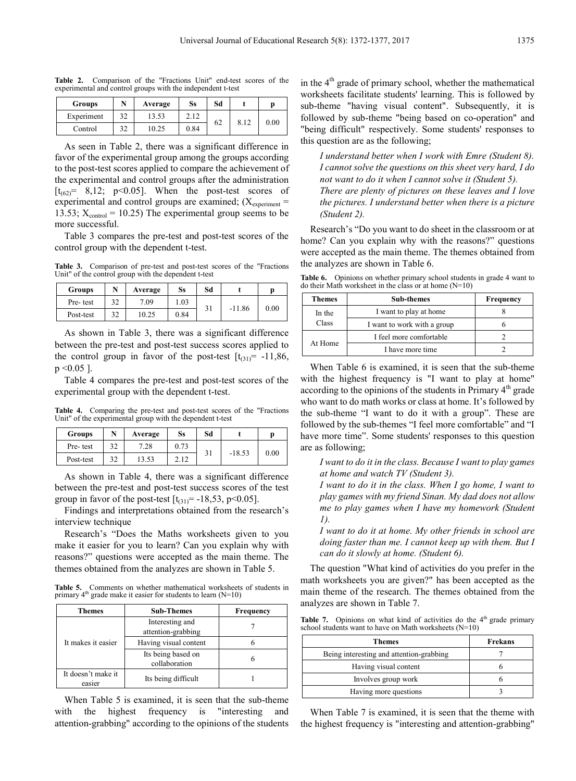**Table 2.** Comparison of the "Fractions Unit" end-test scores of the experimental and control groups with the independent t-test

| <b>Groups</b> | N  | Average | Ss   | Sd |      |      |
|---------------|----|---------|------|----|------|------|
| Experiment    | 32 | 13.53   | 2.12 | 62 | 8.12 | 0.00 |
| Control       | 32 | 10.25   | 0.84 |    |      |      |

As seen in Table 2, there was a significant difference in favor of the experimental group among the groups according to the post-test scores applied to compare the achievement of the experimental and control groups after the administration  $[t_{(62)} = 8, 12; p<0.05]$ . When the post-test scores of experimental and control groups are examined;  $(X_{experiment} =$ 13.53;  $X_{control} = 10.25$ ) The experimental group seems to be more successful.

Table 3 compares the pre-test and post-test scores of the control group with the dependent t-test.

**Table 3.** Comparison of pre-test and post-test scores of the "Fractions Unit" of the control group with the dependent t-test

| <b>Groups</b> |    | Average | Ss   | Sd |          |      |
|---------------|----|---------|------|----|----------|------|
| Pre-test      | 37 | 7.09    | 1.03 |    | $-11.86$ | 0.00 |
| Post-test     | 20 | 10.25   | 0.84 |    |          |      |

As shown in Table 3, there was a significant difference between the pre-test and post-test success scores applied to the control group in favor of the post-test  $[t_{(31)} = -11,86,$  $p \le 0.05$ ].

Table 4 compares the pre-test and post-test scores of the experimental group with the dependent t-test.

**Table 4.** Comparing the pre-test and post-test scores of the "Fractions Unit" of the experimental group with the dependent t-test

| <b>Groups</b> |    | Average | Ss   | Sd |          |      |
|---------------|----|---------|------|----|----------|------|
| Pre-test      | 32 | 7.28    | 0.73 |    |          |      |
| Post-test     | 32 | '3.53   | 2.12 | эı | $-18.53$ | 0.00 |

As shown in Table 4, there was a significant difference between the pre-test and post-test success scores of the test group in favor of the post-test  $[t_{(31)} = -18, 53, p < 0.05]$ .

Findings and interpretations obtained from the research's interview technique

Research's "Does the Maths worksheets given to you make it easier for you to learn? Can you explain why with reasons?" questions were accepted as the main theme. The themes obtained from the analyzes are shown in Table 5.

**Table 5.** Comments on whether mathematical worksheets of students in primary  $4<sup>th</sup>$  grade make it easier for students to learn (N=10)

| Themes                       | <b>Sub-Themes</b>                     | Frequency |
|------------------------------|---------------------------------------|-----------|
|                              | Interesting and<br>attention-grabbing |           |
| It makes it easier           | Having visual content                 |           |
|                              | Its being based on<br>collaboration   |           |
| It doesn't make it<br>easier | Its being difficult                   |           |

When Table 5 is examined, it is seen that the sub-theme with the highest frequency is "interesting and attention-grabbing" according to the opinions of the students in the  $4<sup>th</sup>$  grade of primary school, whether the mathematical worksheets facilitate students' learning. This is followed by sub-theme "having visual content". Subsequently, it is followed by sub-theme "being based on co-operation" and "being difficult" respectively. Some students' responses to this question are as the following;

*I understand better when I work with Emre (Student 8). I cannot solve the questions on this sheet very hard, I do not want to do it when I cannot solve it (Student 5). There are plenty of pictures on these leaves and I love the pictures. I understand better when there is a picture (Student 2).*

Research's "Do you want to do sheet in the classroom or at home? Can you explain why with the reasons?" questions were accepted as the main theme. The themes obtained from the analyzes are shown in Table 6.

Table 6. Opinions on whether primary school students in grade 4 want to do their Math worksheet in the class or at home  $(N=10)$ 

| Themes          | <b>Sub-themes</b>           | <b>Frequency</b> |
|-----------------|-----------------------------|------------------|
| In the<br>Class | I want to play at home      |                  |
|                 | I want to work with a group |                  |
| At Home         | I feel more comfortable     |                  |
|                 | I have more time            |                  |

When Table 6 is examined, it is seen that the sub-theme with the highest frequency is "I want to play at home" according to the opinions of the students in Primary  $4<sup>th</sup>$  grade who want to do math works or class at home. It's followed by the sub-theme "I want to do it with a group". These are followed by the sub-themes "I feel more comfortable" and "I have more time". Some students' responses to this question are as following;

*I want to do it in the class. Because I want to play games at home and watch TV (Student 3).*

*I want to do it in the class. When I go home, I want to play games with my friend Sinan. My dad does not allow me to play games when I have my homework (Student 1).*

*I want to do it at home. My other friends in school are doing faster than me. I cannot keep up with them. But I can do it slowly at home. (Student 6).*

The question "What kind of activities do you prefer in the math worksheets you are given?" has been accepted as the main theme of the research. The themes obtained from the analyzes are shown in Table 7.

Table 7. Opinions on what kind of activities do the 4<sup>th</sup> grade primary school students want to have on Math worksheets (N=10)

| Themes                                   | <b>Frekans</b> |
|------------------------------------------|----------------|
| Being interesting and attention-grabbing |                |
| Having visual content                    |                |
| Involves group work                      |                |
| Having more questions                    |                |

When Table 7 is examined, it is seen that the theme with the highest frequency is "interesting and attention-grabbing"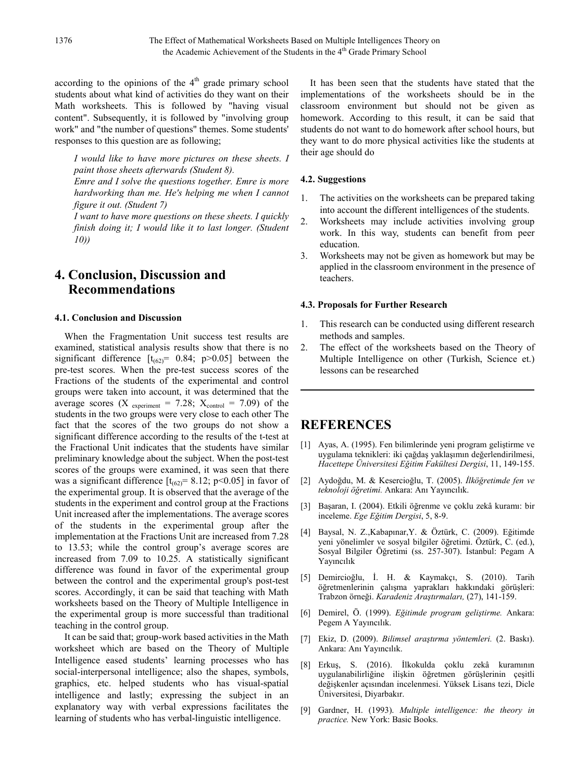according to the opinions of the  $4<sup>th</sup>$  grade primary school students about what kind of activities do they want on their Math worksheets. This is followed by "having visual content". Subsequently, it is followed by "involving group work" and "the number of questions" themes. Some students' responses to this question are as following;

*I would like to have more pictures on these sheets. I paint those sheets afterwards (Student 8).*

*Emre and I solve the questions together. Emre is more hardworking than me. He's helping me when I cannot figure it out. (Student 7)*

*I want to have more questions on these sheets. I quickly finish doing it; I would like it to last longer. (Student 10))*

# **4. Conclusion, Discussion and Recommendations**

#### **4.1. Conclusion and Discussion**

When the Fragmentation Unit success test results are examined, statistical analysis results show that there is no significant difference  $[t_{(62)} = 0.84; p > 0.05]$  between the pre-test scores. When the pre-test success scores of the Fractions of the students of the experimental and control groups were taken into account, it was determined that the average scores (X <sub>experiment</sub> = 7.28;  $X_{control}$  = 7.09) of the students in the two groups were very close to each other The fact that the scores of the two groups do not show a significant difference according to the results of the t-test at the Fractional Unit indicates that the students have similar preliminary knowledge about the subject. When the post-test scores of the groups were examined, it was seen that there was a significant difference  $[t<sub>(62)</sub>] = 8.12; p<0.05]$  in favor of the experimental group. It is observed that the average of the students in the experiment and control group at the Fractions Unit increased after the implementations. The average scores of the students in the experimental group after the implementation at the Fractions Unit are increased from 7.28 to 13.53; while the control group's average scores are increased from 7.09 to 10.25. A statistically significant difference was found in favor of the experimental group between the control and the experimental group's post-test scores. Accordingly, it can be said that teaching with Math worksheets based on the Theory of Multiple Intelligence in the experimental group is more successful than traditional teaching in the control group.

It can be said that; group-work based activities in the Math worksheet which are based on the Theory of Multiple Intelligence eased students' learning processes who has social-interpersonal intelligence; also the shapes, symbols, graphics, etc. helped students who has visual-spatial intelligence and lastly; expressing the subject in an explanatory way with verbal expressions facilitates the learning of students who has verbal-linguistic intelligence.

It has been seen that the students have stated that the implementations of the worksheets should be in the classroom environment but should not be given as homework. According to this result, it can be said that students do not want to do homework after school hours, but they want to do more physical activities like the students at their age should do

#### **4.2. Suggestions**

- 1. The activities on the worksheets can be prepared taking into account the different intelligences of the students.
- 2. Worksheets may include activities involving group work. In this way, students can benefit from peer education.
- 3. Worksheets may not be given as homework but may be applied in the classroom environment in the presence of teachers.

#### **4.3. Proposals for Further Research**

- 1. This research can be conducted using different research methods and samples.
- 2. The effect of the worksheets based on the Theory of Multiple Intelligence on other (Turkish, Science et.) lessons can be researched

### **REFERENCES**

- [1] Ayas, A. (1995). Fen bilimlerinde yeni program geliştirme ve uygulama teknikleri: iki çağdaş yaklaşımın değerlendirilmesi, *Hacettepe Üniversitesi Eğitim Fakültesi Dergisi*, 11, 149-155.
- [2] Aydoğdu, M. & Kesercioğlu, T. (2005). *İlköğretimde fen ve teknoloji öğretimi.* Ankara: Anı Yayıncılık.
- [3] Başaran, I. (2004). Etkili öğrenme ve çoklu zekâ kuramı: bir inceleme. *Ege Eğitim Dergisi*, 5, 8-9.
- [4] Baysal, N. Z.,Kabapınar,Y. & Öztürk, C. (2009). Eğitimde yeni yönelimler ve sosyal bilgiler öğretimi. Öztürk, C. (ed.), Sosyal Bilgiler Öğretimi (ss. 257-307). İstanbul: Pegam A Yayıncılık
- [5] Demircioğlu, İ. H. & Kaymakçı, S. (2010). Tarih öğretmenlerinin çalışma yaprakları hakkındaki görüşleri: Trabzon örneği. *Karadeniz Araştırmaları,* (27), 141-159.
- [6] Demirel, Ö. (1999). *Eğitimde program geliştirme.* Ankara: Pegem A Yayıncılık.
- [7] Ekiz, D. (2009). *Bilimsel araştırma yöntemleri.* (2. Baskı). Ankara: Anı Yayıncılık.
- [8] Erkuş, S. (2016). İlkokulda çoklu zekâ kuramının uygulanabilirliğine ilişkin öğretmen görüşlerinin çeşitli değişkenler açısından incelenmesi. Yüksek Lisans tezi, Dicle Üniversitesi, Diyarbakır.
- [9] Gardner, H. (1993). *Multiple intelligence: the theory in practice.* New York: Basic Books.